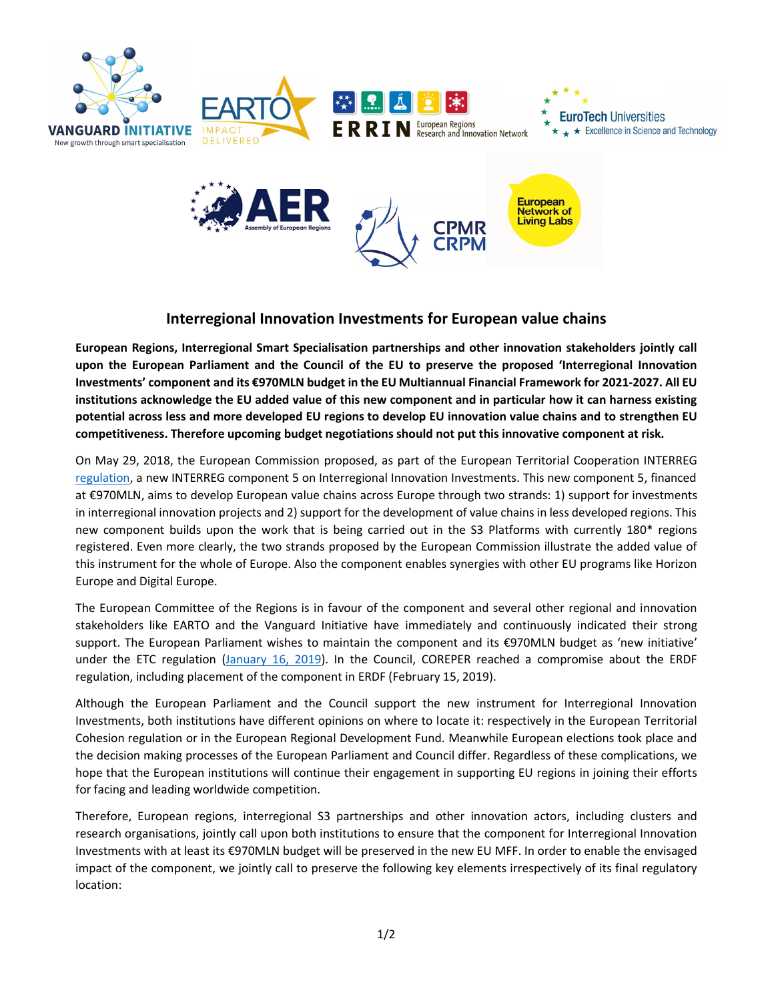

## **Interregional Innovation Investments for European value chains**

**European Regions, Interregional Smart Specialisation partnerships and other innovation stakeholders jointly call upon the European Parliament and the Council of the EU to preserve the proposed 'Interregional Innovation Investments' component and its €970MLN budget in the EU Multiannual Financial Framework for 2021-2027. All EU institutions acknowledge the EU added value of this new component and in particular how it can harness existing potential across less and more developed EU regions to develop EU innovation value chains and to strengthen EU competitiveness. Therefore upcoming budget negotiations should not put this innovative component at risk.**

On May 29, 2018, the European Commission proposed, as part of the European Territorial Cooperation INTERREG regulation, a new INTERREG component 5 on Interregional Innovation Investments. This new component 5, financed at €970MLN, aims to develop European value chains across Europe through two strands: 1) support for investments in interregional innovation projects and 2) support for the development of value chains in less developed regions. This new component builds upon the work that is being carried out in the S3 Platforms with currently 180\* regions registered. Even more clearly, the two strands proposed by the European Commission illustrate the added value of this instrument for the whole of Europe. Also the component enables synergies with other EU programs like Horizon Europe and Digital Europe.

The European Committee of the Regions is in favour of the component and several other regional and innovation stakeholders like EARTO and the Vanguard Initiative have immediately and continuously indicated their strong support. The European Parliament wishes to maintain the component and its €970MLN budget as 'new initiative' under the ETC regulation (January 16, 2019). In the Council, COREPER reached a compromise about the ERDF regulation, including placement of the component in ERDF (February 15, 2019).

Although the European Parliament and the Council support the new instrument for Interregional Innovation Investments, both institutions have different opinions on where to locate it: respectively in the European Territorial Cohesion regulation or in the European Regional Development Fund. Meanwhile European elections took place and the decision making processes of the European Parliament and Council differ. Regardless of these complications, we hope that the European institutions will continue their engagement in supporting EU regions in joining their efforts for facing and leading worldwide competition.

Therefore, European regions, interregional S3 partnerships and other innovation actors, including clusters and research organisations, jointly call upon both institutions to ensure that the component for Interregional Innovation Investments with at least its €970MLN budget will be preserved in the new EU MFF. In order to enable the envisaged impact of the component, we jointly call to preserve the following key elements irrespectively of its final regulatory location: